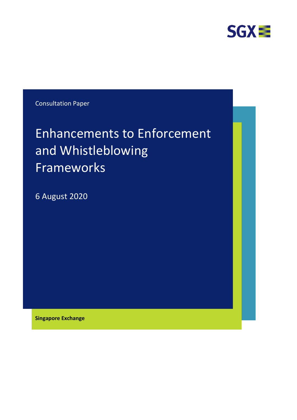

Consultation Paper

# Enhancements to Enforcement and Whistleblowing Frameworks

6 August 2020

**Singapore Exchange**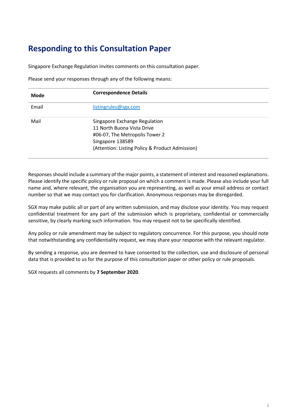# **Responding to this Consultation Paper**

Singapore Exchange Regulation invites comments on this consultation paper.

Please send your responses through any of the following means:

| <b>Mode</b> | <b>Correspondence Details</b>                                                                                                                                        |  |
|-------------|----------------------------------------------------------------------------------------------------------------------------------------------------------------------|--|
| Email       | listingrules@sgx.com                                                                                                                                                 |  |
| Mail        | Singapore Exchange Regulation<br>11 North Buona Vista Drive<br>#06-07, The Metropolis Tower 2<br>Singapore 138589<br>(Attention: Listing Policy & Product Admission) |  |

Responses should include a summary of the major points, a statement of interest and reasoned explanations. Please identify the specific policy or rule proposal on which a comment is made. Please also include your full name and, where relevant, the organisation you are representing, as well as your email address or contact number so that we may contact you for clarification. Anonymous responses may be disregarded.

SGX may make public all or part of any written submission, and may disclose your identity. You may request confidential treatment for any part of the submission which is proprietary, confidential or commercially sensitive, by clearly marking such information. You may request not to be specifically identified.

Any policy or rule amendment may be subject to regulatory concurrence. For this purpose, you should note that notwithstanding any confidentiality request, we may share your response with the relevant regulator.

By sending a response, you are deemed to have consented to the collection, use and disclosure of personal data that is provided to us for the purpose of this consultation paper or other policy or rule proposals.

SGX requests all comments by **7 September 2020**.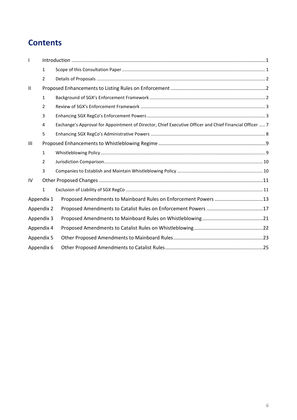# **Contents**

|              | $\mathbf{1}$   |                                                                                                         |  |
|--------------|----------------|---------------------------------------------------------------------------------------------------------|--|
|              | $\overline{2}$ |                                                                                                         |  |
| $\mathbf{H}$ |                |                                                                                                         |  |
|              | $\mathbf{1}$   |                                                                                                         |  |
|              | $\overline{2}$ |                                                                                                         |  |
|              | 3              |                                                                                                         |  |
|              | 4              | Exchange's Approval for Appointment of Director, Chief Executive Officer and Chief Financial Officer  7 |  |
|              | 5              |                                                                                                         |  |
| Ш            |                |                                                                                                         |  |
|              | $\mathbf{1}$   |                                                                                                         |  |
|              | $\mathcal{P}$  |                                                                                                         |  |
|              | 3              |                                                                                                         |  |
| IV           |                |                                                                                                         |  |
|              | $\mathbf{1}$   |                                                                                                         |  |
| Appendix 1   |                | Proposed Amendments to Mainboard Rules on Enforcement Powers 13                                         |  |
| Appendix 2   |                |                                                                                                         |  |
| Appendix 3   |                |                                                                                                         |  |
| Appendix 4   |                |                                                                                                         |  |
| Appendix 5   |                |                                                                                                         |  |
| Appendix 6   |                |                                                                                                         |  |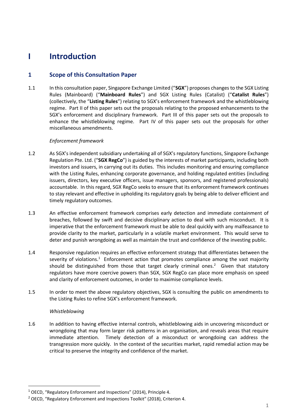# **I Introduction**

### **1 Scope of this Consultation Paper**

1.1 In this consultation paper, Singapore Exchange Limited ("**SGX**") proposes changes to the SGX Listing Rules (Mainboard) ("**Mainboard Rules**") and SGX Listing Rules (Catalist) ("**Catalist Rules**") (collectively, the "**Listing Rules**") relating to SGX's enforcement framework and the whistleblowing regime. Part II of this paper sets out the proposals relating to the proposed enhancements to the SGX's enforcement and disciplinary framework. Part III of this paper sets out the proposals to enhance the whistleblowing regime. Part IV of this paper sets out the proposals for other miscellaneous amendments.

#### *Enforcement framework*

- 1.2 As SGX's independent subsidiary undertaking all of SGX's regulatory functions, Singapore Exchange Regulation Pte. Ltd. ("**SGX RegCo**") is guided by the interests of market participants, including both investors and issuers, in carrying out its duties. This includes monitoring and ensuring compliance with the Listing Rules, enhancing corporate governance, and holding regulated entities (including issuers, directors, key executive officers, issue managers, sponsors, and registered professionals) accountable. In this regard, SGX RegCo seeks to ensure that its enforcement framework continues to stay relevant and effective in upholding its regulatory goals by being able to deliver efficient and timely regulatory outcomes.
- 1.3 An effective enforcement framework comprises early detection and immediate containment of breaches, followed by swift and decisive disciplinary action to deal with such misconduct. It is imperative that the enforcement framework must be able to deal quickly with any malfeasance to provide clarity to the market, particularly in a volatile market environment. This would serve to deter and punish wrongdoing as well as maintain the trust and confidence of the investing public.
- 1.4 Responsive regulation requires an effective enforcement strategy that differentiates between the severity of violations.<sup>1</sup> Enforcement action that promotes compliance among the vast majority should be distinguished from those that target clearly criminal ones.<sup>2</sup> Given that statutory regulators have more coercive powers than SGX, SGX RegCo can place more emphasis on speed and clarity of enforcement outcomes, in order to maximise compliance levels.
- 1.5 In order to meet the above regulatory objectives, SGX is consulting the public on amendments to the Listing Rules to refine SGX's enforcement framework.

#### *Whistleblowing*

**.** 

1.6 In addition to having effective internal controls, whistleblowing aids in uncovering misconduct or wrongdoing that may form larger risk patterns in an organisation, and reveals areas that require immediate attention. Timely detection of a misconduct or wrongdoing can address the transgression more quickly. In the context of the securities market, rapid remedial action may be critical to preserve the integrity and confidence of the market.

 $1$  OECD, "Regulatory Enforcement and Inspections" (2014), Principle 4.

 $2$  OECD, "Regulatory Enforcement and Inspections Toolkit" (2018), Criterion 4.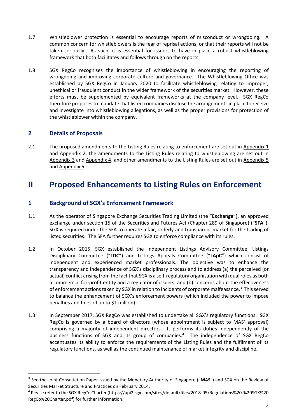- 1.7 Whistleblower protection is essential to encourage reports of misconduct or wrongdoing. A common concern for whistleblowers is the fear of reprisal actions, or that their reports will not be taken seriously. As such, it is essential for issuers to have in place a robust whistleblowing framework that both facilitates and follows through on the reports.
- 1.8 SGX RegCo recognises the importance of whistleblowing in encouraging the reporting of wrongdoing and improving corporate culture and governance. The Whistleblowing Office was established by SGX RegCo in January 2020 to facilitate whistleblowing relating to improper, unethical or fraudulent conduct in the wider framework of the securities market. However, these efforts must be supplemented by equivalent frameworks at the company level. SGX RegCo therefore proposes to mandate that listed companies disclose the arrangements in place to receive and investigate into whistleblowing allegations, as well as the proper provisions for protection of the whistleblower within the company.

### **2 Details of Proposals**

**.** 

2.1 The proposed amendments to the Listing Rules relating to enforcement are set out in Appendix 1 and  $Appendix 2$ , the amendments to the Listing Rules relating to whistleblowing are set out in Appendix 3 and Appendix 4, and other amendments to the Listing Rules are set out in Appendix 5 and Appendix 6.

## **II Proposed Enhancements to Listing Rules on Enforcement**

### **1 Background of SGX's Enforcement Framework**

- 1.1 As the operator of Singapore Exchange Securities Trading Limited (the "**Exchange**"), an approved exchange under section 15 of the Securities and Futures Act (Chapter 289 of Singapore) ("**SFA**"), SGX is required under the SFA to operate a fair, orderly and transparent market for the trading of listed securities. The SFA further requires SGX to enforce compliance with its rules.
- 1.2 In October 2015, SGX established the independent Listings Advisory Committee, Listings Disciplinary Committee ("**LDC**") and Listings Appeals Committee ("**LApC**") which consist of independent and experienced market professionals. The objective was to enhance the transparency and independence of SGX's disciplinary process and to address (a) the perceived (or actual) conflict arising from the fact that SGX is a self-regulatory organisation with dual roles as both a commercial for-profit entity and a regulator of issuers; and (b) concerns about the effectiveness of enforcement actions taken by SGX in relation to incidents of corporate malfeasance.<sup>3</sup> This served to balance the enhancement of SGX's enforcement powers (which included the power to impose penalties and fines of up to \$1 million).
- 1.3 In September 2017, SGX RegCo was established to undertake all SGX's regulatory functions. SGX RegCo is governed by a board of directors (whose appointment is subject to MAS' approval) comprising a majority of independent directors. It performs its duties independently of the business functions of SGX and its group of companies.<sup>4</sup> The independence of SGX RegCo accentuates its ability to enforce the requirements of the Listing Rules and the fulfilment of its regulatory functions, as well as the continued maintenance of market integrity and discipline.

<sup>3</sup> See the Joint Consultation Paper issued by the Monetary Authority of Singapore ("**MAS**") and SGX on the Review of Securities Market Structure and Practices on February 2014.

<sup>4</sup> Please refer to the SGX RegCo Charter (https://api2.sgx.com/sites/default/files/2018-05/Regulations%20-%20SGX%20 RegCo%20Charter.pdf) for further information.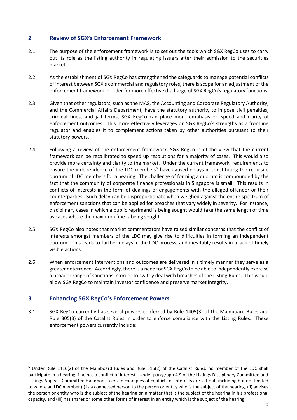### **2 Review of SGX's Enforcement Framework**

- 2.1 The purpose of the enforcement framework is to set out the tools which SGX RegCo uses to carry out its role as the listing authority in regulating issuers after their admission to the securities market.
- 2.2 As the establishment of SGX RegCo has strengthened the safeguards to manage potential conflicts of interest between SGX's commercial and regulatory roles, there is scope for an adjustment of the enforcement framework in order for more effective discharge of SGX RegCo's regulatory functions.
- 2.3 Given that other regulators, such as the MAS, the Accounting and Corporate Regulatory Authority, and the Commercial Affairs Department, have the statutory authority to impose civil penalties, criminal fines, and jail terms, SGX RegCo can place more emphasis on speed and clarity of enforcement outcomes. This more effectively leverages on SGX RegCo's strengths as a frontline regulator and enables it to complement actions taken by other authorities pursuant to their statutory powers.
- 2.4 Following a review of the enforcement framework, SGX RegCo is of the view that the current framework can be recalibrated to speed up resolutions for a majority of cases. This would also provide more certainty and clarity to the market. Under the current framework, requirements to ensure the independence of the LDC members<sup>5</sup> have caused delays in constituting the requisite quorum of LDC members for a hearing. The challenge of forming a quorum is compounded by the fact that the community of corporate finance professionals in Singapore is small. This results in conflicts of interests in the form of dealings or engagements with the alleged offender or their counterparties. Such delay can be disproportionate when weighed against the entire spectrum of enforcement sanctions that can be applied for breaches that vary widely in severity. For instance, disciplinary cases in which a public reprimand is being sought would take the same length of time as cases where the maximum fine is being sought.
- 2.5 SGX RegCo also notes that market commentators have raised similar concerns that the conflict of interests amongst members of the LDC may give rise to difficulties in forming an independent quorum. This leads to further delays in the LDC process, and inevitably results in a lack of timely visible actions.
- 2.6 When enforcement interventions and outcomes are delivered in a timely manner they serve as a greater deterrence. Accordingly, there is a need for SGX RegCo to be able to independently exercise a broader range of sanctions in order to swiftly deal with breaches of the Listing Rules. This would allow SGX RegCo to maintain investor confidence and preserve market integrity.

### **3 Enhancing SGX RegCo's Enforcement Powers**

**.** 

3.1 SGX RegCo currently has several powers conferred by Rule 1405(3) of the Mainboard Rules and Rule 305(3) of the Catalist Rules in order to enforce compliance with the Listing Rules. These enforcement powers currently include:

 $5$  Under Rule 1416(2) of the Mainboard Rules and Rule 316(2) of the Catalist Rules, no member of the LDC shall participate in a hearing if he has a conflict of interest. Under paragraph 4.9 of the Listings Disciplinary Committee and Listings Appeals Committee Handbook, certain examples of conflicts of interests are set out, including but not limited to where an LDC member (i) is a connected person to the person or entity who is the subject of the hearing, (ii) advises the person or entity who is the subject of the hearing on a matter that is the subject of the hearing in his professional capacity, and (iii) has shares or some other forms of interest in an entity which is the subject of the hearing.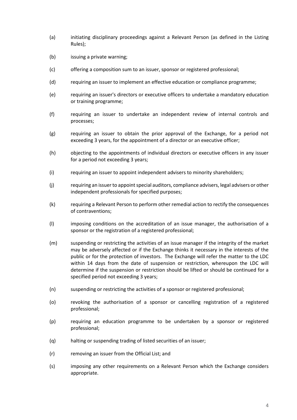- (a) initiating disciplinary proceedings against a Relevant Person (as defined in the Listing Rules);
- (b) issuing a private warning;
- (c) offering a composition sum to an issuer, sponsor or registered professional;
- (d) requiring an issuer to implement an effective education or compliance programme;
- (e) requiring an issuer's directors or executive officers to undertake a mandatory education or training programme;
- (f) requiring an issuer to undertake an independent review of internal controls and processes;
- (g) requiring an issuer to obtain the prior approval of the Exchange, for a period not exceeding 3 years, for the appointment of a director or an executive officer;
- (h) objecting to the appointments of individual directors or executive officers in any issuer for a period not exceeding 3 years;
- (i) requiring an issuer to appoint independent advisers to minority shareholders;
- (j) requiring an issuer to appoint special auditors, compliance advisers, legal advisers or other independent professionals for specified purposes;
- (k) requiring a Relevant Person to perform other remedial action to rectify the consequences of contraventions;
- (l) imposing conditions on the accreditation of an issue manager, the authorisation of a sponsor or the registration of a registered professional;
- (m) suspending or restricting the activities of an issue manager if the integrity of the market may be adversely affected or if the Exchange thinks it necessary in the interests of the public or for the protection of investors. The Exchange will refer the matter to the LDC within 14 days from the date of suspension or restriction, whereupon the LDC will determine if the suspension or restriction should be lifted or should be continued for a specified period not exceeding 3 years;
- (n) suspending or restricting the activities of a sponsor or registered professional;
- (o) revoking the authorisation of a sponsor or cancelling registration of a registered professional;
- (p) requiring an education programme to be undertaken by a sponsor or registered professional;
- (q) halting or suspending trading of listed securities of an issuer;
- (r) removing an issuer from the Official List; and
- (s) imposing any other requirements on a Relevant Person which the Exchange considers appropriate.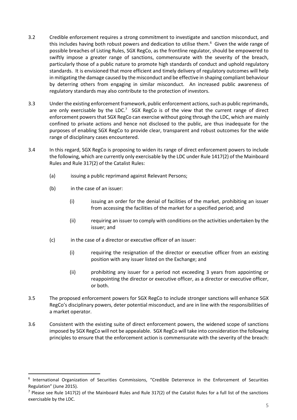- 3.2 Credible enforcement requires a strong commitment to investigate and sanction misconduct, and this includes having both robust powers and dedication to utilise them.<sup>6</sup> Given the wide range of possible breaches of Listing Rules, SGX RegCo, as the frontline regulator, should be empowered to swiftly impose a greater range of sanctions, commensurate with the severity of the breach, particularly those of a public nature to promote high standards of conduct and uphold regulatory standards. It is envisioned that more efficient and timely delivery of regulatory outcomes will help in mitigating the damage caused by the misconduct and be effective in shaping compliant behaviour by deterring others from engaging in similar misconduct. An increased public awareness of regulatory standards may also contribute to the protection of investors.
- 3.3 Under the existing enforcement framework, public enforcement actions, such as public reprimands, are only exercisable by the LDC.<sup>7</sup> SGX RegCo is of the view that the current range of direct enforcement powers that SGX RegCo can exercise without going through the LDC, which are mainly confined to private actions and hence not disclosed to the public, are thus inadequate for the purposes of enabling SGX RegCo to provide clear, transparent and robust outcomes for the wide range of disciplinary cases encountered.
- 3.4 In this regard, SGX RegCo is proposing to widen its range of direct enforcement powers to include the following, which are currently only exercisable by the LDC under Rule 1417(2) of the Mainboard Rules and Rule 317(2) of the Catalist Rules:
	- (a) issuing a public reprimand against Relevant Persons;
	- (b) in the case of an issuer:

**.** 

- (i) issuing an order for the denial of facilities of the market, prohibiting an issuer from accessing the facilities of the market for a specified period; and
- (ii) requiring an issuer to comply with conditions on the activities undertaken by the issuer; and
- (c) in the case of a director or executive officer of an issuer:
	- (i) requiring the resignation of the director or executive officer from an existing position with any issuer listed on the Exchange; and
	- (ii) prohibiting any issuer for a period not exceeding 3 years from appointing or reappointing the director or executive officer, as a director or executive officer, or both.
- 3.5 The proposed enforcement powers for SGX RegCo to include stronger sanctions will enhance SGX RegCo's disciplinary powers, deter potential misconduct, and are in line with the responsibilities of a market operator.
- 3.6 Consistent with the existing suite of direct enforcement powers, the widened scope of sanctions imposed by SGX RegCo will not be appealable. SGX RegCo will take into consideration the following principles to ensure that the enforcement action is commensurate with the severity of the breach:

<sup>&</sup>lt;sup>6</sup> International Organization of Securities Commissions, "Credible Deterrence in the Enforcement of Securities Regulation" (June 2015).

 $<sup>7</sup>$  Please see Rule 1417(2) of the Mainboard Rules and Rule 317(2) of the Catalist Rules for a full list of the sanctions</sup> exercisable by the LDC.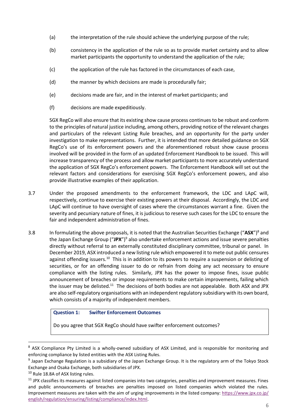- (a) the interpretation of the rule should achieve the underlying purpose of the rule;
- (b) consistency in the application of the rule so as to provide market certainty and to allow market participants the opportunity to understand the application of the rule;
- (c) the application of the rule has factored in the circumstances of each case,
- (d) the manner by which decisions are made is procedurally fair;
- (e) decisions made are fair, and in the interest of market participants; and
- (f) decisions are made expeditiously.

SGX RegCo will also ensure that its existing show cause process continues to be robust and conform to the principles of natural justice including, among others, providing notice of the relevant charges and particulars of the relevant Listing Rule breaches, and an opportunity for the party under investigation to make representations. Further, it is intended that more detailed guidance on SGX RegCo's use of its enforcement powers and the aforementioned robust show cause process involved will be provided in the form of an updated Enforcement Handbook to be issued. This will increase transparency of the process and allow market participants to more accurately understand the application of SGX RegCo's enforcement powers. The Enforcement Handbook will set out the relevant factors and considerations for exercising SGX RegCo's enforcement powers, and also provide illustrative examples of their application.

- 3.7 Under the proposed amendments to the enforcement framework, the LDC and LApC will, respectively, continue to exercise their existing powers at their disposal. Accordingly, the LDC and LApC will continue to have oversight of cases where the circumstances warrant a fine. Given the severity and pecuniary nature of fines, it is judicious to reserve such cases for the LDC to ensure the fair and independent administration of fines.
- 3.8 In formulating the above proposals, it is noted that the Australian Securities Exchange ("**ASX**")<sup>8</sup> and the Japan Exchange Group ("**JPX**")<sup>9</sup> also undertake enforcement actions and issue severe penalties directly without referral to an externally constituted disciplinary committee, tribunal or panel. In December 2019, ASX introduced a new listing rule which empowered it to mete out public censures against offending issuers.<sup>10</sup> This is in addition to its powers to require a suspension or delisting of securities, or for an offending issuer to do or refrain from doing any act necessary to ensure compliance with the listing rules. Similarly, JPX has the power to impose fines, issue public announcement of breaches or impose requirements to make certain improvements, failing which the issuer may be delisted.<sup>11</sup> The decisions of both bodies are not appealable. Both ASX and JPX are also self-regulatory organisations with an independent regulatory subsidiary with its own board, which consists of a majority of independent members.

#### **Question 1: Swifter Enforcement Outcomes**

Do you agree that SGX RegCo should have swifter enforcement outcomes?

<sup>8</sup> ASX Compliance Pty Limited is a wholly-owned subsidiary of ASX Limited, and is responsible for monitoring and enforcing compliance by listed entities with the ASX Listing Rules.

<sup>&</sup>lt;sup>9</sup> Japan Exchange Regulation is a subsidiary of the Japan Exchange Group. It is the regulatory arm of the Tokyo Stock Exchange and Osaka Exchange, both subsidiaries of JPX.

<sup>&</sup>lt;sup>10</sup> Rule 18.8A of ASX listing rules.

 $11$  JPX classifies its measures against listed companies into two categories, penalties and improvement measures. Fines and public announcements of breaches are penalties imposed on listed companies which violated the rules. Improvement measures are taken with the aim of urging improvements in the listed company: [https://www.jpx.co.jp/](https://www.jpx.co.jp/english/regulation/ensuring/listing/compliance/index.html) [english/regulation/ensuring/listing/compliance/index.html.](https://www.jpx.co.jp/english/regulation/ensuring/listing/compliance/index.html)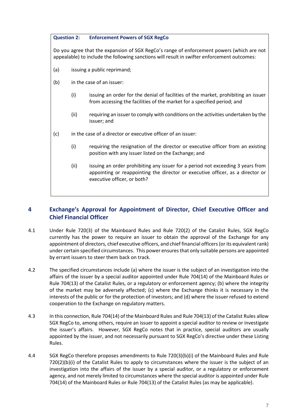**Question 2: Enforcement Powers of SGX RegCo**

Do you agree that the expansion of SGX RegCo's range of enforcement powers (which are not appealable) to include the following sanctions will result in swifter enforcement outcomes:

- (a) issuing a public reprimand;
- (b) in the case of an issuer:
	- (i) issuing an order for the denial of facilities of the market, prohibiting an issuer from accessing the facilities of the market for a specified period; and
	- (ii) requiring an issuer to comply with conditions on the activities undertaken by the issuer; and
- (c) in the case of a director or executive officer of an issuer:
	- (i) requiring the resignation of the director or executive officer from an existing position with any issuer listed on the Exchange; and
	- (ii) issuing an order prohibiting any issuer for a period not exceeding 3 years from appointing or reappointing the director or executive officer, as a director or executive officer, or both?

### **4 Exchange's Approval for Appointment of Director, Chief Executive Officer and Chief Financial Officer**

- 4.1 Under Rule 720(3) of the Mainboard Rules and Rule 720(2) of the Catalist Rules, SGX RegCo currently has the power to require an issuer to obtain the approval of the Exchange for any appointment of directors, chief executive officers, and chief financial officers (or its equivalent rank) under certain specified circumstances. This power ensures that only suitable persons are appointed by errant issuers to steer them back on track.
- 4.2 The specified circumstances include (a) where the issuer is the subject of an investigation into the affairs of the issuer by a special auditor appointed under Rule 704(14) of the Mainboard Rules or Rule 704(13) of the Catalist Rules, or a regulatory or enforcement agency; (b) where the integrity of the market may be adversely affected; (c) where the Exchange thinks it is necessary in the interests of the public or for the protection of investors; and (d) where the issuer refused to extend cooperation to the Exchange on regulatory matters.
- 4.3 In this connection, Rule 704(14) of the Mainboard Rules and Rule 704(13) of the Catalist Rules allow SGX RegCo to, among others, require an issuer to appoint a special auditor to review or investigate the issuer's affairs. However, SGX RegCo notes that in practice, special auditors are usually appointed by the issuer, and not necessarily pursuant to SGX RegCo's directive under these Listing Rules.
- 4.4 SGX RegCo therefore proposes amendments to Rule 720(3)(b)(i) of the Mainboard Rules and Rule  $720(2)(b)(i)$  of the Catalist Rules to apply to circumstances where the issuer is the subject of an investigation into the affairs of the issuer by a special auditor, or a regulatory or enforcement agency, and not merely limited to circumstances where the special auditor is appointed under Rule 704(14) of the Mainboard Rules or Rule 704(13) of the Catalist Rules (as may be applicable).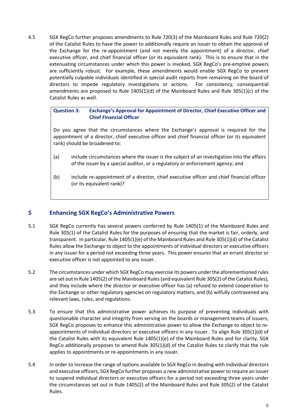4.5 SGX RegCo further proposes amendments to Rule 720(3) of the Mainboard Rules and Rule 720(2) of the Catalist Rules to have the power to additionally require an issuer to obtain the approval of the Exchange for the re-appointment (and not merely the appointment) of a director, chief executive officer, and chief financial officer (or its equivalent rank). This is to ensure that in the extenuating circumstances under which this power is invoked, SGX RegCo's pre-emptive powers are sufficiently robust. For example, these amendments would enable SGX RegCo to prevent potentially culpable individuals identified in special audit reports from remaining on the board of directors to impede regulatory investigations or actions. For consistency, consequential amendments are proposed to Rule 1405(1)(d) of the Mainboard Rules and Rule 305(1)(c) of the Catalist Rules as well.

### **Question 3: Exchange's Approval for Appointment of Director, Chief Executive Officer and Chief Financial Officer**

Do you agree that the circumstances where the Exchange's approval is required for the appointment of a director, chief executive officer and chief financial officer (or its equivalent rank) should be broadened to:

- (a) include circumstances where the issuer is the subject of an investigation into the affairs of the issuer by a special auditor, or a regulatory or enforcement agency; and
- (b) include re-appointment of a director, chief executive officer and chief financial officer (or its equivalent rank)?

### **5 Enhancing SGX RegCo's Administrative Powers**

- 5.1 SGX RegCo currently has several powers conferred by Rule 1405(1) of the Mainboard Rules and Rule 305(1) of the Catalist Rules for the purposes of ensuring that the market is fair, orderly, and transparent. In particular, Rule 1405(1)(e) of the Mainboard Rules and Rule 305(1)(d) of the Catalist Rules allow the Exchange to object to the appointments of individual directors or executive officers in any issuer for a period not exceeding three years. This power ensures that an errant director or executive officer is not appointed to any issuer.
- 5.2 The circumstances under which SGX RegCo may exercise its powers under the aforementioned rules are set out in Rule 1405(2) of the Mainboard Rules (and equivalent Rule 305(2) of the Catalist Rules), and they include where the director or executive officer has (a) refused to extend cooperation to the Exchange or other regulatory agencies on regulatory matters, and (b) wilfully contravened any relevant laws, rules, and regulations.
- 5.3 To ensure that this administrative power achieves its purpose of preventing individuals with questionable character and integrity from serving on the boards or management teams of issuers, SGX RegCo proposes to enhance this administrative power to allow the Exchange to object to reappointments of individual directors or executive officers in any issuer. To align Rule 305(1)(d) of the Catalist Rules with its equivalent Rule 1405(1)(e) of the Mainboard Rules and for clarity, SGX RegCo additionally proposes to amend Rule 305(1)(d) of the Catalist Rules to clarify that the rule applies to appointments or re-appointments in any issuer.
- 5.4 In order to increase the range of options available to SGX RegCo in dealing with individual directors and executive officers, SGX RegCo further proposes a new administrative power to require an issuer to suspend individual directors or executive officers for a period not exceeding three years under the circumstances set out in Rule 1405(2) of the Mainboard Rules and Rule 305(2) of the Catalist Rules.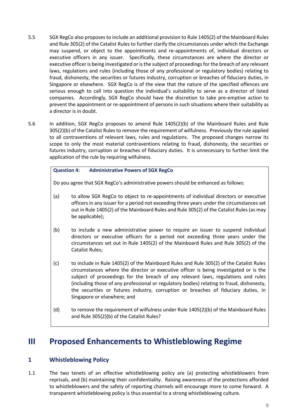- 5.5 SGX RegCo also proposes to include an additional provision to Rule 1405(2) of the Mainboard Rules and Rule 305(2) of the Catalist Rules to further clarify the circumstances under which the Exchange may suspend, or object to the appointments and re-appointments of, individual directors or executive officers in any issuer. Specifically, these circumstances are where the director or executive officer is being investigated or is the subject of proceedings for the breach of any relevant laws, regulations and rules (including those of any professional or regulatory bodies) relating to fraud, dishonesty, the securities or futures industry, corruption or breaches of fiduciary duties, in Singapore or elsewhere. SGX RegCo is of the view that the nature of the specified offences are serious enough to call into question the individual's suitability to serve as a director of listed companies. Accordingly, SGX RegCo should have the discretion to take pre-emptive action to prevent the appointment or re-appointment of persons in such situations where their suitability as a director is in doubt.
- 5.6 In addition, SGX RegCo proposes to amend Rule 1405(2)(b) of the Mainboard Rules and Rule 305(2)(b) of the Catalist Rules to remove the requirement of wilfulness. Previously the rule applied to all contraventions of relevant laws, rules and regulations. The proposed changes narrow its scope to only the most material contraventions relating to fraud, dishonesty, the securities or futures industry, corruption or breaches of fiduciary duties. It is unnecessary to further limit the application of the rule by requiring wilfulness.

#### **Question 4: Administrative Powers of SGX RegCo**

Do you agree that SGX RegCo's administrative powers should be enhanced as follows:

- (a) to allow SGX RegCo to object to re-appointments of individual directors or executive officers in any issuer for a period not exceeding three years under the circumstances set out in Rule 1405(2) of the Mainboard Rules and Rule 305(2) of the Catalist Rules (as may be applicable);
- (b) to include a new administrative power to require an issuer to suspend individual directors or executive officers for a period not exceeding three years under the circumstances set out in Rule 1405(2) of the Mainboard Rules and Rule 305(2) of the Catalist Rules;
- (c) to include in Rule 1405(2) of the Mainboard Rules and Rule 305(2) of the Catalist Rules circumstances where the director or executive officer is being investigated or is the subject of proceedings for the breach of any relevant laws, regulations and rules (including those of any professional or regulatory bodies) relating to fraud, dishonesty, the securities or futures industry, corruption or breaches of fiduciary duties, in Singapore or elsewhere; and
- (d) to remove the requirement of wilfulness under Rule 1405(2)(b) of the Mainboard Rules and Rule 305(2)(b) of the Catalist Rules?

## **III Proposed Enhancements to Whistleblowing Regime**

#### **1 Whistleblowing Policy**

1.1 The two tenets of an effective whistleblowing policy are (a) protecting whistleblowers from reprisals, and (b) maintaining their confidentiality. Raising awareness of the protections afforded to whistleblowers and the safety of reporting channels will encourage more to come forward. A transparent whistleblowing policy is thus essential to a strong whistleblowing culture.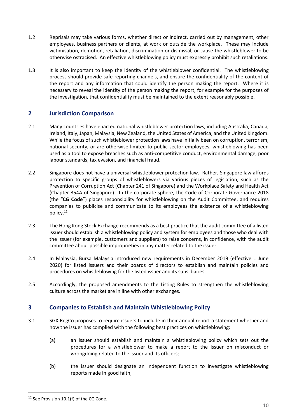- 1.2 Reprisals may take various forms, whether direct or indirect, carried out by management, other employees, business partners or clients, at work or outside the workplace. These may include victimisation, demotion, retaliation, discrimination or dismissal, or cause the whistleblower to be otherwise ostracised. An effective whistleblowing policy must expressly prohibit such retaliations.
- 1.3 It is also important to keep the identity of the whistleblower confidential. The whistleblowing process should provide safe reporting channels, and ensure the confidentiality of the content of the report and any information that could identify the person making the report. Where it is necessary to reveal the identity of the person making the report, for example for the purposes of the investigation, that confidentiality must be maintained to the extent reasonably possible.

### **2 Jurisdiction Comparison**

- 2.1 Many countries have enacted national whistleblower protection laws, including Australia, Canada, Ireland, Italy, Japan, Malaysia, New Zealand, the United States of America, and the United Kingdom. While the focus of such whistleblower protection laws have initially been on corruption, terrorism, national security, or are otherwise limited to public sector employees, whistleblowing has been used as a tool to expose breaches such as anti-competitive conduct, environmental damage, poor labour standards, tax evasion, and financial fraud.
- 2.2 Singapore does not have a universal whistleblower protection law. Rather, Singapore law affords protection to specific groups of whistleblowers via various pieces of legislation, such as the Prevention of Corruption Act (Chapter 241 of Singapore) and the Workplace Safety and Health Act (Chapter 354A of Singapore). In the corporate sphere, the Code of Corporate Governance 2018 (the "**CG Code**") places responsibility for whistleblowing on the Audit Committee, and requires companies to publicise and communicate to its employees the existence of a whistleblowing policy.<sup>12</sup>
- 2.3 The Hong Kong Stock Exchange recommends as a best practice that the audit committee of a listed issuer should establish a whistleblowing policy and system for employees and those who deal with the issuer (for example, customers and suppliers) to raise concerns, in confidence, with the audit committee about possible improprieties in any matter related to the issuer.
- 2.4 In Malaysia, Bursa Malaysia introduced new requirements in December 2019 (effective 1 June 2020) for listed issuers and their boards of directors to establish and maintain policies and procedures on whistleblowing for the listed issuer and its subsidiaries.
- 2.5 Accordingly, the proposed amendments to the Listing Rules to strengthen the whistleblowing culture across the market are in line with other exchanges.

### **3 Companies to Establish and Maintain Whistleblowing Policy**

- 3.1 SGX RegCo proposes to require issuers to include in their annual report a statement whether and how the issuer has complied with the following best practices on whistleblowing:
	- (a) an issuer should establish and maintain a whistleblowing policy which sets out the procedures for a whistleblower to make a report to the issuer on misconduct or wrongdoing related to the issuer and its officers;
	- (b) the issuer should designate an independent function to investigate whistleblowing reports made in good faith;

 $\overline{a}$ 

<sup>&</sup>lt;sup>12</sup> See Provision 10.1(f) of the CG Code.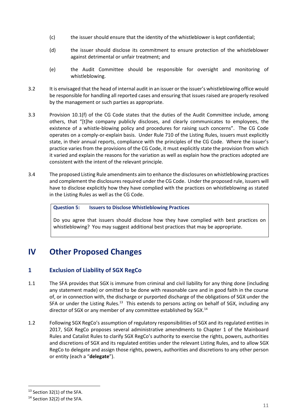- (c) the issuer should ensure that the identity of the whistleblower is kept confidential;
- (d) the issuer should disclose its commitment to ensure protection of the whistleblower against detrimental or unfair treatment; and
- (e) the Audit Committee should be responsible for oversight and monitoring of whistleblowing.
- 3.2 It is envisaged that the head of internal audit in an issuer or the issuer's whistleblowing office would be responsible for handling all reported cases and ensuring that issues raised are properly resolved by the management or such parties as appropriate.
- 3.3 Provision 10.1(f) of the CG Code states that the duties of the Audit Committee include, among others, that "[t]he company publicly discloses, and clearly communicates to employees, the existence of a whistle-blowing policy and procedures for raising such concerns". The CG Code operates on a comply-or-explain basis. Under Rule 710 of the Listing Rules, issuers must explicitly state, in their annual reports, compliance with the principles of the CG Code. Where the issuer's practice varies from the provisions of the CG Code, it must explicitly state the provision from which it varied and explain the reasons for the variation as well as explain how the practices adopted are consistent with the intent of the relevant principle.
- 3.4 The proposed Listing Rule amendments aim to enhance the disclosures on whistleblowing practices and complement the disclosures required under the CG Code. Under the proposed rule, issuers will have to disclose explicitly how they have complied with the practices on whistleblowing as stated in the Listing Rules as well as the CG Code.

#### **Question 5: Issuers to Disclose Whistleblowing Practices**

Do you agree that issuers should disclose how they have complied with best practices on whistleblowing? You may suggest additional best practices that may be appropriate.

# **IV Other Proposed Changes**

### **1 Exclusion of Liability of SGX RegCo**

- 1.1 The SFA provides that SGX is immune from criminal and civil liability for any thing done (including any statement made) or omitted to be done with reasonable care and in good faith in the course of, or in connection with, the discharge or purported discharge of the obligations of SGX under the SFA or under the Listing Rules.<sup>13</sup> This extends to persons acting on behalf of SGX, including any director of SGX or any member of any committee established by SGX.<sup>14</sup>
- 1.2 Following SGX RegCo's assumption of regulatory responsibilities of SGX and its regulated entities in 2017, SGX RegCo proposes several administrative amendments to Chapter 1 of the Mainboard Rules and Catalist Rules to clarify SGX RegCo's authority to exercise the rights, powers, authorities and discretions of SGX and its regulated entities under the relevant Listing Rules, and to allow SGX RegCo to delegate and assign those rights, powers, authorities and discretions to any other person or entity (each a "**delegate**").

**.** 

<sup>&</sup>lt;sup>13</sup> Section 32(1) of the SFA.

 $14$  Section 32(2) of the SFA.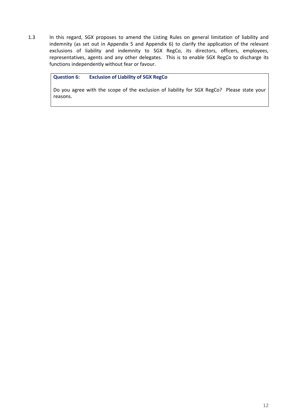1.3 In this regard, SGX proposes to amend the Listing Rules on general limitation of liability and indemnity (as set out in Appendix 5 and Appendix 6) to clarify the application of the relevant exclusions of liability and indemnity to SGX RegCo, its directors, officers, employees, representatives, agents and any other delegates. This is to enable SGX RegCo to discharge its functions independently without fear or favour.

#### **Question 6: Exclusion of Liability of SGX RegCo**

Do you agree with the scope of the exclusion of liability for SGX RegCo? Please state your reasons.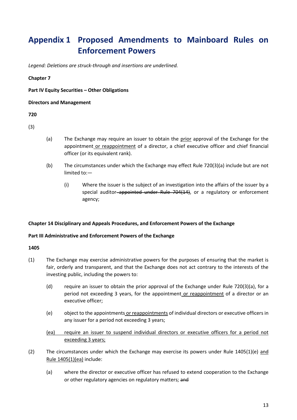# **Appendix 1 Proposed Amendments to Mainboard Rules on Enforcement Powers**

*Legend: Deletions are struck-through and insertions are underlined.*

#### **Chapter 7**

**Part IV Equity Securities – Other Obligations**

#### **Directors and Management**

#### **720**

(3)

- (a) The Exchange may require an issuer to obtain the prior approval of the Exchange for the appointment or reappointment of a director, a chief executive officer and chief financial officer (or its equivalent rank).
- (b) The circumstances under which the Exchange may effect Rule 720(3)(a) include but are not limited to:—
	- (i) Where the issuer is the subject of an investigation into the affairs of the issuer by a special auditor-appointed under Rule 704(14), or a regulatory or enforcement agency;

#### **Chapter 14 Disciplinary and Appeals Procedures, and Enforcement Powers of the Exchange**

#### **Part III Administrative and Enforcement Powers of the Exchange**

- (1) The Exchange may exercise administrative powers for the purposes of ensuring that the market is fair, orderly and transparent, and that the Exchange does not act contrary to the interests of the investing public, including the powers to:
	- (d) require an issuer to obtain the prior approval of the Exchange under [Rule 720\(](http://rulebook.sgx.com/node/5093)3)(a), for a period not exceeding 3 years, for the appointment or reappointment of a director or an executive officer;
	- (e) object to the appointments or reappointments of individual directors or executive officers in any issuer for a period not exceeding 3 years;
	- (ea) require an issuer to suspend individual directors or executive officers for a period not exceeding 3 years;
- (2) The circumstances under which the Exchange may exercise its powers under Rule 1405(1)(e) and Rule 1405(1)(ea) include:
	- (a) where the director or executive officer has refused to extend cooperation to the Exchange or other regulatory agencies on regulatory matters; and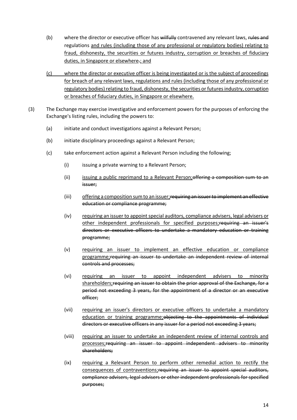- (b) where the director or executive officer has wilfully contravened any relevant laws, rules and regulations and rules (including those of any professional or regulatory bodies) relating to fraud, dishonesty, the securities or futures industry, corruption or breaches of fiduciary duties, in Singapore or elsewhere.; and
- (c) where the director or executive officer is being investigated or is the subject of proceedings for breach of any relevant laws, regulations and rules (including those of any professional or regulatory bodies) relating to fraud, dishonesty, the securities or futures industry, corruption or breaches of fiduciary duties, in Singapore or elsewhere.
- (3) The Exchange may exercise investigative and enforcement powers for the purposes of enforcing the Exchange's listing rules, including the powers to:
	- (a) initiate and conduct investigations against a Relevant Person;
	- (b) initiate disciplinary proceedings against a Relevant Person;
	- (c) take enforcement action against a Relevant Person including the following;
		- (i) issuing a private warning to a Relevant Person;
		- (ii) issuing a public reprimand to a Relevant Person; of fering a composition sum to an issuer;
		- (iii) offering a composition sum to an issuer;requiring an issuer to implement an effective education or compliance programme;
		- (iv) requiring an issuer to appoint special auditors, compliance advisers, legal advisers or other independent professionals for specified purposes;requiring an issuer's directors or executive officers to undertake a mandatory education or training programme;
		- (v) requiring an issuer to implement an effective education or compliance programme;requiring an issuer to undertake an independent review of internal controls and processes;
		- (vi) requiring an issuer to appoint independent advisers to minority shareholders; requiring an issuer to obtain the prior approval of the Exchange, for a period not exceeding 3 years, for the appointment of a director or an executive officer;
		- (vii) requiring an issuer's directors or executive officers to undertake a mandatory education or training programme; objecting to the appointments of individual directors or executive officers in any issuer for a period not exceeding 3 years;
		- (viii) requiring an issuer to undertake an independent review of internal controls and processes;requiring an issuer to appoint independent advisers to minority shareholders;
		- (ix) requiring a Relevant Person to perform other remedial action to rectify the consequences of contraventions; requiring an issuer to appoint special auditors, compliance advisers, legal advisers or other independent professionals for specified purposes;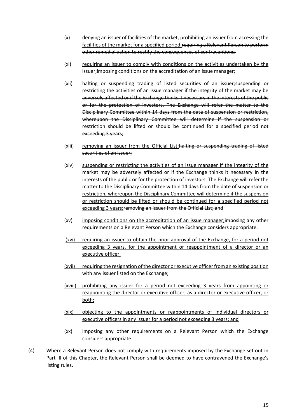- (x) denying an issuer of facilities of the market, prohibiting an issuer from accessing the facilities of the market for a specified period; requiring a Relevant Person to perform other remedial action to rectify the consequences of contraventions;
- (xi) requiring an issuer to comply with conditions on the activities undertaken by the issuer; imposing conditions on the accreditation of an issue manager;
- (xii) halting or suspending trading of listed securities of an issuer; suspending or restricting the activities of an issue manager if the integrity of the market may be adversely affected or if the Exchange thinks it necessary in the interests of the public or for the protection of investors. The Exchange will refer the matter to the Disciplinary Committee within 14 days from the date of suspension or restriction, whereupon the Disciplinary Committee will determine if the suspension or restriction should be lifted or should be continued for a specified period not exceeding 3 years;
- (xiii) removing an issuer from the Official List; halting or suspending trading of listed securities of an issuer;
- (xiv) suspending or restricting the activities of an issue manager if the integrity of the market may be adversely affected or if the Exchange thinks it necessary in the interests of the public or for the protection of investors. The Exchange will refer the matter to the Disciplinary Committee within 14 days from the date of suspension or restriction, whereupon the Disciplinary Committee will determine if the suspension or restriction should be lifted or should be continued for a specified period not exceeding 3 years; removing an issuer from the Official List; and
- (xv) imposing conditions on the accreditation of an issue manager; imposing any other requirements on a Relevant Person which the Exchange considers appropriate.
- (xvi) requiring an issuer to obtain the prior approval of the Exchange, for a period not exceeding 3 years, for the appointment or reappointment of a director or an executive officer;
- (xvii) requiring the resignation of the director or executive officer from an existing position with any issuer listed on the Exchange;
- (xviii) prohibiting any issuer for a period not exceeding 3 years from appointing or reappointing the director or executive officer, as a director or executive officer, or both;
- (xix) objecting to the appointments or reappointments of individual directors or executive officers in any issuer for a period not exceeding 3 years; and
- (xx) imposing any other requirements on a Relevant Person which the Exchange considers appropriate.
- (4) Where a Relevant Person does not comply with requirements imposed by the Exchange set out in [Part III](http://rulebook.sgx.com/node/6420) of this Chapter, the Relevant Person shall be deemed to have contravened the Exchange's listing rules.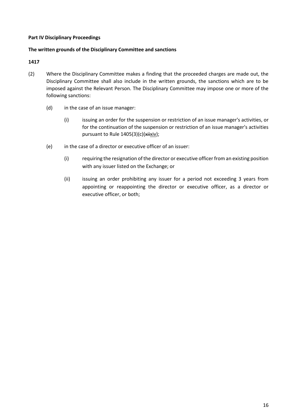#### **Part IV Disciplinary Proceedings**

#### **The written grounds of the Disciplinary Committee and sanctions**

- (2) Where the Disciplinary Committee makes a finding that the proceeded charges are made out, the Disciplinary Committee shall also include in the written grounds, the sanctions which are to be imposed against the Relevant Person. The Disciplinary Committee may impose one or more of the following sanctions:
	- (d) in the case of an issue manager:
		- (i) issuing an order for the suspension or restriction of an issue manager's activities, or for the continuation of the suspension or restriction of an issue manager's activities pursuant t[o Rule 1405\(](http://rulebook.sgx.com/node/6421)3)(c)(xiixiv);
	- (e) in the case of a director or executive officer of an issuer:
		- (i) requiring the resignation of the director or executive officer from an existing position with any issuer listed on the Exchange; or
		- (ii) issuing an order prohibiting any issuer for a period not exceeding 3 years from appointing or reappointing the director or executive officer, as a director or executive officer, or both;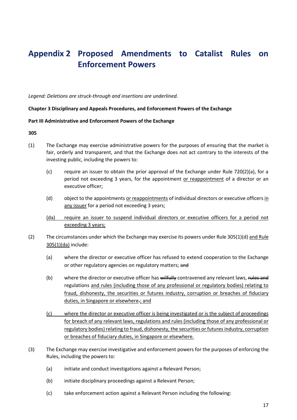# **Appendix 2 Proposed Amendments to Catalist Rules on Enforcement Powers**

*Legend: Deletions are struck-through and insertions are underlined.*

#### **Chapter 3 Disciplinary and Appeals Procedures, and Enforcement Powers of the Exchange**

#### **Part III Administrative and Enforcement Powers of the Exchange**

- (1) The Exchange may exercise administrative powers for the purposes of ensuring that the market is fair, orderly and transparent, and that the Exchange does not act contrary to the interests of the investing public, including the powers to:
	- (c) require an issuer to obtain the prior approval of the Exchange under Rule  $720(2)(a)$ , for a period not exceeding 3 years, for the appointment or reappointment of a director or an executive officer;
	- (d) object to the appointments or reappointments of individual directors or executive officers in any issuer for a period not exceeding 3 years;
	- (da) require an issuer to suspend individual directors or executive officers for a period not exceeding 3 years;
- (2) The circumstances under which the Exchange may exercise its powers under Rule 305(1)(d) and Rule 305(1)(da) include:
	- (a) where the director or executive officer has refused to extend cooperation to the Exchange or other regulatory agencies on regulatory matters; and
	- (b) where the director or executive officer has wilfully contravened any relevant laws, rules and regulations and rules (including those of any professional or regulatory bodies) relating to fraud, dishonesty, the securities or futures industry, corruption or breaches of fiduciary duties, in Singapore or elsewhere-; and
	- (c) where the director or executive officer is being investigated or is the subject of proceedings for breach of any relevant laws, regulations and rules (including those of any professional or regulatory bodies) relating to fraud, dishonesty, the securities or futures industry, corruption or breaches of fiduciary duties, in Singapore or elsewhere.
- (3) The Exchange may exercise investigative and enforcement powers for the purposes of enforcing the Rules, including the powers to:
	- (a) initiate and conduct investigations against a Relevant Person;
	- (b) initiate disciplinary proceedings against a Relevant Person;
	- (c) take enforcement action against a Relevant Person including the following: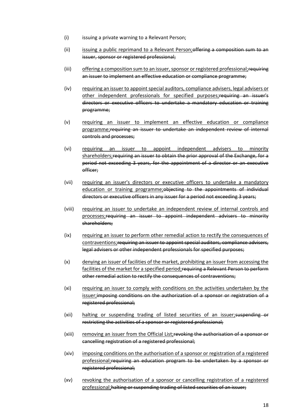- (i) issuing a private warning to a Relevant Person;
- (ii) issuing a public reprimand to a Relevant Person; of ferring a composition sum to an issuer, sponsor or registered professional;
- (iii) offering a composition sum to an issuer, sponsor or registered professional; requiring an issuer to implement an effective education or compliance programme;
- (iv) requiring an issuer to appoint special auditors, compliance advisers, legal advisers or other independent professionals for specified purposes; requiring an issuer's directors or executive officers to undertake a mandatory education or training programme;
- (v) requiring an issuer to implement an effective education or compliance programme;requiring an issuer to undertake an independent review of internal controls and processes;
- (vi) requiring an issuer to appoint independent advisers to minority shareholders;requiring an issuer to obtain the prior approval of the Exchange, for a period not exceeding 3 years, for the appointment of a director or an executive officer;
- (vii) requiring an issuer's directors or executive officers to undertake a mandatory education or training programme; objecting to the appointments of individual directors or executive officers in any issuer for a period not exceeding 3 years;
- (viii) requiring an issuer to undertake an independent review of internal controls and processes;requiring an issuer to appoint independent advisers to minority shareholders;
- (ix) requiring an issuer to perform other remedial action to rectify the consequences of contraventions;requiring an issuer to appoint special auditors, compliance advisers, legal advisers or other independent professionals for specified purposes;
- (x) denying an issuer of facilities of the market, prohibiting an issuer from accessing the facilities of the market for a specified period; requiring a Relevant Person to perform other remedial action to rectify the consequences of contraventions;
- (xi) requiring an issuer to comply with conditions on the activities undertaken by the issuer;imposing conditions on the authorization of a sponsor or registration of a registered professional;
- (xii) halting or suspending trading of listed securities of an issuer; suspending or restricting the activities of a sponsor or registered professional;
- (xiii) removing an issuer from the Official List;revoking the authorisation of a sponsor or cancelling registration of a registered professional;
- (xiv) imposing conditions on the authorisation of a sponsor or registration of a registered professional;requiring an education program to be undertaken by a sponsor or registered professional;
- (xv) revoking the authorisation of a sponsor or cancelling registration of a registered professional; halting or suspending trading of listed securities of an issuer;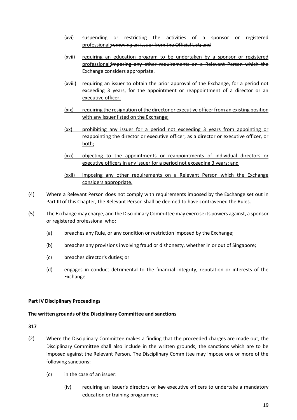- (xvi) suspending or restricting the activities of a sponsor or registered professional;removing an issuer from the Official List; and
- (xvii) requiring an education program to be undertaken by a sponsor or registered professional;imposing any other requirements on a Relevant Person which the Exchange considers appropriate.
- (xviii) requiring an issuer to obtain the prior approval of the Exchange, for a period not exceeding 3 years, for the appointment or reappointment of a director or an executive officer;
- (xix) requiring the resignation of the director or executive officer from an existing position with any issuer listed on the Exchange;
- (xx) prohibiting any issuer for a period not exceeding 3 years from appointing or reappointing the director or executive officer, as a director or executive officer, or both;
- (xxi) objecting to the appointments or reappointments of individual directors or executive officers in any issuer for a period not exceeding 3 years; and
- (xxii) imposing any other requirements on a Relevant Person which the Exchange considers appropriate.
- (4) Where a Relevant Person does not comply with requirements imposed by the Exchange set out in Part III of this Chapter, the Relevant Person shall be deemed to have contravened the Rules.
- (5) The Exchange may charge, and the Disciplinary Committee may exercise its powers against, a sponsor or registered professional who:
	- (a) breaches any Rule, or any condition or restriction imposed by the Exchange;
	- (b) breaches any provisions involving fraud or dishonesty, whether in or out of Singapore;
	- (c) breaches director's duties; or
	- (d) engages in conduct detrimental to the financial integrity, reputation or interests of the Exchange.

#### **Part IV Disciplinary Proceedings**

#### **The written grounds of the Disciplinary Committee and sanctions**

- (2) Where the Disciplinary Committee makes a finding that the proceeded charges are made out, the Disciplinary Committee shall also include in the written grounds, the sanctions which are to be imposed against the Relevant Person. The Disciplinary Committee may impose one or more of the following sanctions:
	- (c) in the case of an issuer:
		- (iv) requiring an issuer's directors or key executive officers to undertake a mandatory education or training programme;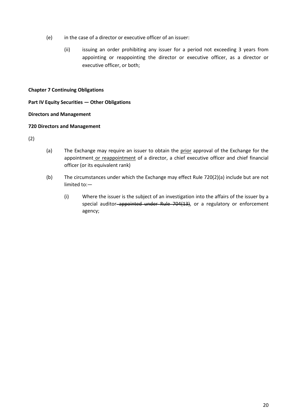- (e) in the case of a director or executive officer of an issuer:
	- (ii) issuing an order prohibiting any issuer for a period not exceeding 3 years from appointing or reappointing the director or executive officer, as a director or executive officer, or both;

#### **Chapter 7 Continuing Obligations**

#### **Part IV Equity Securities — Other Obligations**

#### **Directors and Management**

#### **720 Directors and Management**

(2)

- (a) The Exchange may require an issuer to obtain the prior approval of the Exchange for the appointment or reappointment of a director, a chief executive officer and chief financial officer (or its equivalent rank)
- (b) The circumstances under which the Exchange may effect Rule [720\(](http://rulebook.sgx.com/node/3372)2)(a) include but are not limited to:—
	- (i) Where the issuer is the subject of an investigation into the affairs of the issuer by a special auditor-appointed under [Rule 704\(](http://rulebook.sgx.com/node/3354)13), or a regulatory or enforcement agency;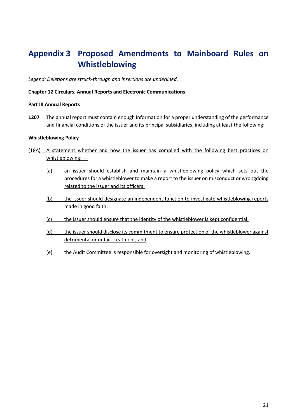# **Appendix 3 Proposed Amendments to Mainboard Rules on Whistleblowing**

*Legend: Deletions are struck-through and insertions are underlined.*

#### **Chapter 12 Circulars, Annual Reports and Electronic Communications**

#### **Part III Annual Reports**

**1207** The annual report must contain enough information for a proper understanding of the performance and financial conditions of the issuer and its principal subsidiaries, including at least the following:

#### **Whistleblowing Policy**

- (18A) A statement whether and how the issuer has complied with the following best practices on whistleblowing: —
	- (a) an issuer should establish and maintain a whistleblowing policy which sets out the procedures for a whistleblower to make a report to the issuer on misconduct or wrongdoing related to the issuer and its officers;
	- (b) the issuer should designate an independent function to investigate whistleblowing reports made in good faith;
	- (c) the issuer should ensure that the identity of the whistleblower is kept confidential;
	- (d) the issuer should disclose its commitment to ensure protection of the whistleblower against detrimental or unfair treatment; and
	- (e) the Audit Committee is responsible for oversight and monitoring of whistleblowing.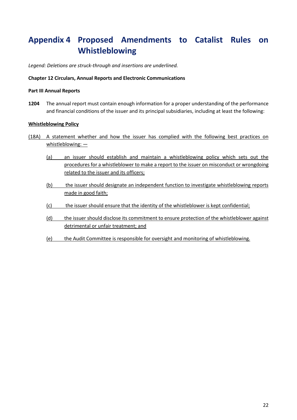# **Appendix 4 Proposed Amendments to Catalist Rules on Whistleblowing**

*Legend: Deletions are struck-through and insertions are underlined.*

#### **Chapter 12 Circulars, Annual Reports and Electronic Communications**

#### **Part III Annual Reports**

**1204** The annual report must contain enough information for a proper understanding of the performance and financial conditions of the issuer and its principal subsidiaries, including at least the following:

#### **Whistleblowing Policy**

- (18A) A statement whether and how the issuer has complied with the following best practices on whistleblowing: —
	- (a) an issuer should establish and maintain a whistleblowing policy which sets out the procedures for a whistleblower to make a report to the issuer on misconduct or wrongdoing related to the issuer and its officers;
	- (b) the issuer should designate an independent function to investigate whistleblowing reports made in good faith;
	- (c) the issuer should ensure that the identity of the whistleblower is kept confidential;
	- (d) the issuer should disclose its commitment to ensure protection of the whistleblower against detrimental or unfair treatment; and
	- (e) the Audit Committee is responsible for oversight and monitoring of whistleblowing.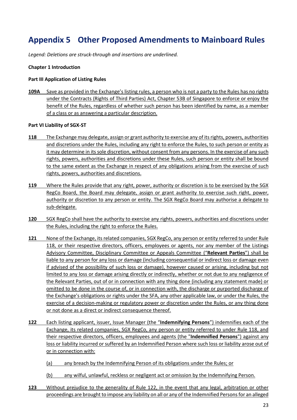# **Appendix 5 Other Proposed Amendments to Mainboard Rules**

*Legend: Deletions are struck-through and insertions are underlined.*

#### **Chapter 1 Introduction**

#### **Part III Application of Listing Rules**

**109A** Save as provided in the Exchange's listing rules, a person who is not a party to the Rules has no rights under the Contracts (Rights of Third Parties) Act, Chapter 53B of Singapore to enforce or enjoy the benefit of the Rules, regardless of whether such person has been identified by name, as a member of a class or as answering a particular description.

#### **Part VI Liability of SGX-ST**

- **118** The Exchange may delegate, assign or grant authority to exercise any of its rights, powers, authorities and discretions under the Rules, including any right to enforce the Rules, to such person or entity as it may determine in its sole discretion, without consent from any persons. In the exercise of any such rights, powers, authorities and discretions under these Rules, such person or entity shall be bound to the same extent as the Exchange in respect of any obligations arising from the exercise of such rights, powers, authorities and discretions.
- **119** Where the Rules provide that any right, power, authority or discretion is to be exercised by the SGX RegCo Board, the Board may delegate, assign or grant authority to exercise such right, power, authority or discretion to any person or entity. The SGX RegCo Board may authorise a delegate to sub-delegate.
- **120** SGX RegCo shall have the authority to exercise any rights, powers, authorities and discretions under the Rules, including the right to enforce the Rules.
- **121** None of the Exchange, its related companies, SGX RegCo, any person or entity referred to under Rule 118, or their respective directors, officers, employees or agents, nor any member of the Listings Advisory Committee, Disciplinary Committee or Appeals Committee ("**Relevant Parties**") shall be liable to any person for any loss or damage (including consequential or indirect loss or damage even if advised of the possibility of such loss or damage), however caused or arising, including but not limited to any loss or damage arising directly or indirectly, whether or not due to any negligence of the Relevant Parties, out of or in connection with any thing done (including any statement made) or omitted to be done in the course of, or in connection with, the discharge or purported discharge of the Exchange's obligations or rights under the SFA, any other applicable law, or under the Rules, the exercise of a decision-making or regulatory power or discretion under the Rules, or any thing done or not done as a direct or indirect consequence thereof.
- **122** Each listing applicant, issuer, Issue Manager (the "**Indemnifying Persons**") indemnifies each of the Exchange, its related companies, SGX RegCo, any person or entity referred to under Rule 118, and their respective directors, officers, employees and agents (the "**Indemnified Persons**") against any loss or liability incurred or suffered by an Indemnified Person where such loss or liability arose out of or in connection with:
	- (a) any breach by the Indemnifying Person of its obligations under the Rules; or
	- (b) any wilful, unlawful, reckless or negligent act or omission by the Indemnifying Person.
- **123** Without prejudice to the generality of Rule 122, in the event that any legal, arbitration or other proceedings are brought to impose any liability on all or any of the Indemnified Persons for an alleged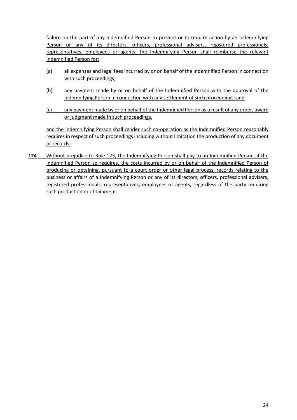failure on the part of any Indemnified Person to prevent or to require action by an Indemnifying Person or any of its directors, officers, professional advisers, registered professionals, representatives, employees or agents, the Indemnifying Person shall reimburse the relevant Indemnified Person for:

- (a) all expenses and legal fees incurred by or on behalf of the Indemnified Person in connection with such proceedings;
- (b) any payment made by or on behalf of the Indemnified Person with the approval of the Indemnifying Person in connection with any settlement of such proceedings; and
- (c) any payment made by or on behalf of the Indemnified Person as a result of any order, award or judgment made in such proceedings,

and the Indemnifying Person shall render such co-operation as the Indemnified Person reasonably requires in respect of such proceedings including without limitation the production of any document or records.

**124** Without prejudice to Rule 123, the Indemnifying Person shall pay to an Indemnified Person, if the Indemnified Person so requires, the costs incurred by or on behalf of the Indemnified Person of producing or obtaining, pursuant to a court order or other legal process, records relating to the business or affairs of a Indemnifying Person or any of its directors, officers, professional advisers, registered professionals, representatives, employees or agents, regardless of the party requiring such production or obtainment.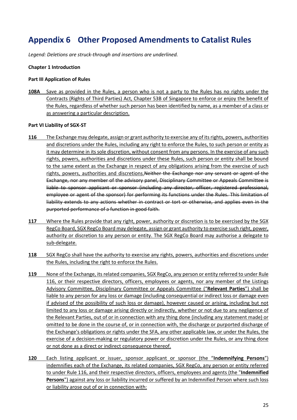# **Appendix 6 Other Proposed Amendments to Catalist Rules**

*Legend: Deletions are struck-through and insertions are underlined.*

#### **Chapter 1 Introduction**

#### **Part III Application of Rules**

**108A** Save as provided in the Rules, a person who is not a party to the Rules has no rights under the Contracts (Rights of Third Parties) Act, Chapter 53B of Singapore to enforce or enjoy the benefit of the Rules, regardless of whether such person has been identified by name, as a member of a class or as answering a particular description.

#### **Part VI Liability of SGX-ST**

- **116** The Exchange may delegate, assign or grant authority to exercise any of its rights, powers, authorities and discretions under the Rules, including any right to enforce the Rules, to such person or entity as it may determine in its sole discretion, without consent from any persons. In the exercise of any such rights, powers, authorities and discretions under these Rules, such person or entity shall be bound to the same extent as the Exchange in respect of any obligations arising from the exercise of such rights, powers, authorities and discretions. Neither the Exchange nor any servant or agent of the Exchange, nor any member of the advisory panel, Disciplinary Committee or Appeals Committee is liable to sponsor applicant or sponsor (including any director, officer, registered professional, employee or agent of the sponsor) for performing its functions under the Rules. This limitation of liability extends to any actions whether in contract or tort or otherwise, and applies even in the purported performance of a function in good faith.
- **117** Where the Rules provide that any right, power, authority or discretion is to be exercised by the SGX RegCo Board, SGX RegCo Board may delegate, assign or grant authority to exercise such right, power, authority or discretion to any person or entity. The SGX RegCo Board may authorise a delegate to sub-delegate.
- **118** SGX RegCo shall have the authority to exercise any rights, powers, authorities and discretions under the Rules, including the right to enforce the Rules.
- **119** None of the Exchange, its related companies, SGX RegCo, any person or entity referred to under Rule 116, or their respective directors, officers, employees or agents, nor any member of the Listings Advisory Committee, Disciplinary Committee or Appeals Committee ("**Relevant Parties**") shall be liable to any person for any loss or damage (including consequential or indirect loss or damage even if advised of the possibility of such loss or damage), however caused or arising, including but not limited to any loss or damage arising directly or indirectly, whether or not due to any negligence of the Relevant Parties, out of or in connection with any thing done (including any statement made) or omitted to be done in the course of, or in connection with, the discharge or purported discharge of the Exchange's obligations or rights under the SFA, any other applicable law, or under the Rules, the exercise of a decision-making or regulatory power or discretion under the Rules, or any thing done or not done as a direct or indirect consequence thereof.
- **120** Each listing applicant or issuer, sponsor applicant or sponsor (the "**Indemnifying Persons**") indemnifies each of the Exchange, its related companies, SGX RegCo, any person or entity referred to under Rule 116, and their respective directors, officers, employees and agents (the "**Indemnified Persons**") against any loss or liability incurred or suffered by an Indemnified Person where such loss or liability arose out of or in connection with: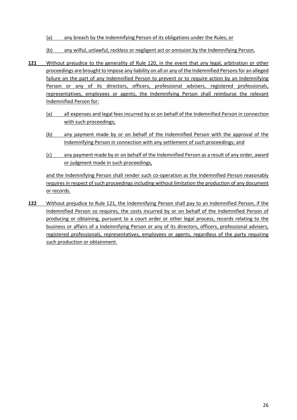- (a) any breach by the Indemnifying Person of its obligations under the Rules; or
- (b) any wilful, unlawful, reckless or negligent act or omission by the Indemnifying Person.
- **121** Without prejudice to the generality of Rule 120, in the event that any legal, arbitration or other proceedings are brought to impose any liability on all or any of the Indemnified Persons for an alleged failure on the part of any Indemnified Person to prevent or to require action by an Indemnifying Person or any of its directors, officers, professional advisers, registered professionals, representatives, employees or agents, the Indemnifying Person shall reimburse the relevant Indemnified Person for:
	- (a) all expenses and legal fees incurred by or on behalf of the Indemnified Person in connection with such proceedings;
	- (b) any payment made by or on behalf of the Indemnified Person with the approval of the Indemnifying Person in connection with any settlement of such proceedings; and
	- (c) any payment made by or on behalf of the Indemnified Person as a result of any order, award or judgment made in such proceedings,

and the Indemnifying Person shall render such co-operation as the Indemnified Person reasonably requires in respect of such proceedings including without limitation the production of any document or records.

**122** Without prejudice to Rule 121, the Indemnifying Person shall pay to an Indemnified Person, if the Indemnified Person so requires, the costs incurred by or on behalf of the Indemnified Person of producing or obtaining, pursuant to a court order or other legal process, records relating to the business or affairs of a Indemnifying Person or any of its directors, officers, professional advisers, registered professionals, representatives, employees or agents, regardless of the party requiring such production or obtainment.